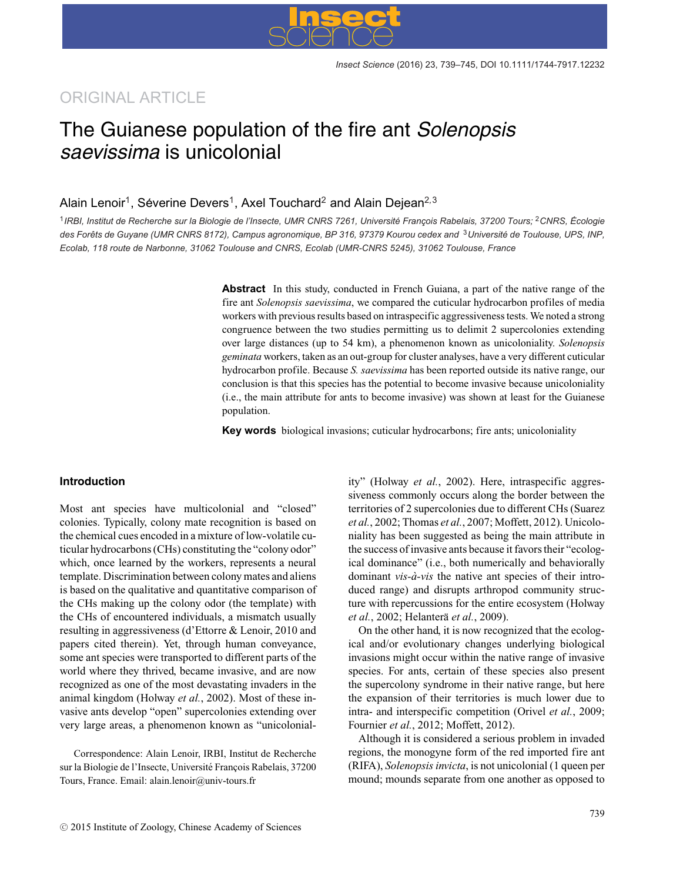### ORIGINAL ARTICLE

## The Guianese population of the fire ant *Solenopsis saevissima* is unicolonial

### Alain Lenoir<sup>1</sup>, Séverine Devers<sup>1</sup>, Axel Touchard<sup>2</sup> and Alain Dejean<sup>2,3</sup>

<sup>1</sup>IRBI, Institut de Recherche sur la Biologie de l'Insecte, UMR CNRS 7261, Université François Rabelais, 37200 Tours; <sup>2</sup>CNRS, Écologie *des Forets de Guyane (UMR CNRS 8172), Campus agronomique, BP 316, 97379 Kourou cedex and ˆ* <sup>3</sup>*Universite de Toulouse, UPS, INP, ´ Ecolab, 118 route de Narbonne, 31062 Toulouse and CNRS, Ecolab (UMR-CNRS 5245), 31062 Toulouse, France*

> **Abstract** In this study, conducted in French Guiana, a part of the native range of the fire ant *Solenopsis saevissima*, we compared the cuticular hydrocarbon profiles of media workers with previous results based on intraspecific aggressiveness tests. We noted a strong congruence between the two studies permitting us to delimit 2 supercolonies extending over large distances (up to 54 km), a phenomenon known as unicoloniality. *Solenopsis geminata* workers, taken as an out-group for cluster analyses, have a very different cuticular hydrocarbon profile. Because *S. saevissima* has been reported outside its native range, our conclusion is that this species has the potential to become invasive because unicoloniality (i.e., the main attribute for ants to become invasive) was shown at least for the Guianese population.

**Key words** biological invasions; cuticular hydrocarbons; fire ants; unicoloniality

#### **Introduction**

Most ant species have multicolonial and "closed" colonies. Typically, colony mate recognition is based on the chemical cues encoded in a mixture of low-volatile cuticular hydrocarbons (CHs) constituting the "colony odor" which, once learned by the workers, represents a neural template. Discrimination between colony mates and aliens is based on the qualitative and quantitative comparison of the CHs making up the colony odor (the template) with the CHs of encountered individuals, a mismatch usually resulting in aggressiveness (d'Ettorre & Lenoir, 2010 and papers cited therein). Yet, through human conveyance, some ant species were transported to different parts of the world where they thrived, became invasive, and are now recognized as one of the most devastating invaders in the animal kingdom (Holway *et al.*, 2002). Most of these invasive ants develop "open" supercolonies extending over very large areas, a phenomenon known as "unicolonial-

Correspondence: Alain Lenoir, IRBI, Institut de Recherche sur la Biologie de l'Insecte, Université François Rabelais, 37200 Tours, France. Email: alain.lenoir@univ-tours.fr

ity" (Holway *et al.*, 2002). Here, intraspecific aggressiveness commonly occurs along the border between the territories of 2 supercolonies due to different CHs (Suarez *et al.*, 2002; Thomas *et al.*, 2007; Moffett, 2012). Unicoloniality has been suggested as being the main attribute in the success of invasive ants because it favors their "ecological dominance" (i.e., both numerically and behaviorally dominant *vis-à-vis* the native ant species of their introduced range) and disrupts arthropod community structure with repercussions for the entire ecosystem (Holway *et al.*, 2002; Helantera¨ *et al.*, 2009).

On the other hand, it is now recognized that the ecological and/or evolutionary changes underlying biological invasions might occur within the native range of invasive species. For ants, certain of these species also present the supercolony syndrome in their native range, but here the expansion of their territories is much lower due to intra- and interspecific competition (Orivel *et al.*, 2009; Fournier *et al.*, 2012; Moffett, 2012).

Although it is considered a serious problem in invaded regions, the monogyne form of the red imported fire ant (RIFA), *Solenopsis invicta*, is not unicolonial (1 queen per mound; mounds separate from one another as opposed to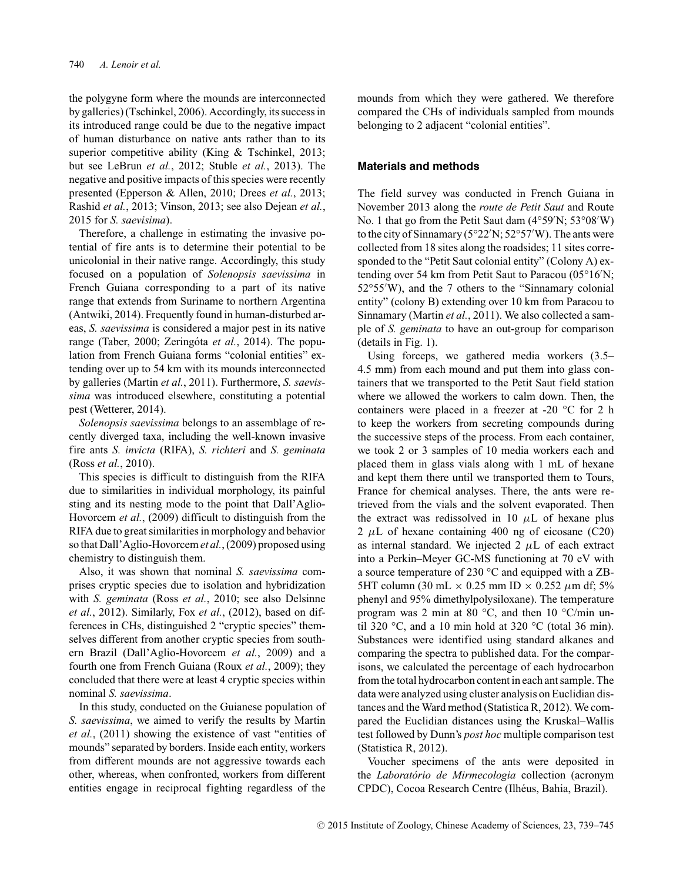the polygyne form where the mounds are interconnected by galleries) (Tschinkel, 2006). Accordingly, its success in its introduced range could be due to the negative impact of human disturbance on native ants rather than to its superior competitive ability (King & Tschinkel, 2013; but see LeBrun *et al.*, 2012; Stuble *et al.*, 2013). The negative and positive impacts of this species were recently presented (Epperson & Allen, 2010; Drees *et al.*, 2013; Rashid *et al.*, 2013; Vinson, 2013; see also Dejean *et al.*, 2015 for *S. saevisima*).

Therefore, a challenge in estimating the invasive potential of fire ants is to determine their potential to be unicolonial in their native range. Accordingly, this study focused on a population of *Solenopsis saevissima* in French Guiana corresponding to a part of its native range that extends from Suriname to northern Argentina (Antwiki, 2014). Frequently found in human-disturbed areas, *S. saevissima* is considered a major pest in its native range (Taber, 2000; Zeringóta et al., 2014). The population from French Guiana forms "colonial entities" extending over up to 54 km with its mounds interconnected by galleries (Martin *et al.*, 2011). Furthermore, *S. saevissima* was introduced elsewhere, constituting a potential pest (Wetterer, 2014).

*Solenopsis saevissima* belongs to an assemblage of recently diverged taxa, including the well-known invasive fire ants *S. invicta* (RIFA), *S. richteri* and *S. geminata* (Ross *et al.*, 2010).

This species is difficult to distinguish from the RIFA due to similarities in individual morphology, its painful sting and its nesting mode to the point that Dall'Aglio-Hovorcem *et al.*, (2009) difficult to distinguish from the RIFA due to great similarities in morphology and behavior so that Dall'Aglio-Hovorcem*et al.*, (2009) proposed using chemistry to distinguish them.

Also, it was shown that nominal *S. saevissima* comprises cryptic species due to isolation and hybridization with *S. geminata* (Ross *et al.*, 2010; see also Delsinne *et al.*, 2012). Similarly, Fox *et al.*, (2012), based on differences in CHs, distinguished 2 "cryptic species" themselves different from another cryptic species from southern Brazil (Dall'Aglio-Hovorcem *et al.*, 2009) and a fourth one from French Guiana (Roux *et al.*, 2009); they concluded that there were at least 4 cryptic species within nominal *S. saevissima*.

In this study, conducted on the Guianese population of *S. saevissima*, we aimed to verify the results by Martin *et al.*, (2011) showing the existence of vast "entities of mounds" separated by borders. Inside each entity, workers from different mounds are not aggressive towards each other, whereas, when confronted, workers from different entities engage in reciprocal fighting regardless of the

mounds from which they were gathered. We therefore compared the CHs of individuals sampled from mounds belonging to 2 adjacent "colonial entities".

#### **Materials and methods**

The field survey was conducted in French Guiana in November 2013 along the *route de Petit Saut* and Route No. 1 that go from the Petit Saut dam (4°59'N; 53°08'W) to the city of Sinnamary (5°22 N; 52°57 W). The ants were collected from 18 sites along the roadsides; 11 sites corresponded to the "Petit Saut colonial entity" (Colony A) extending over 54 km from Petit Saut to Paracou (05°16 N; 52°55 W), and the 7 others to the "Sinnamary colonial entity" (colony B) extending over 10 km from Paracou to Sinnamary (Martin *et al.*, 2011). We also collected a sample of *S. geminata* to have an out-group for comparison (details in Fig. 1).

Using forceps, we gathered media workers (3.5– 4.5 mm) from each mound and put them into glass containers that we transported to the Petit Saut field station where we allowed the workers to calm down. Then, the containers were placed in a freezer at -20 °C for 2 h to keep the workers from secreting compounds during the successive steps of the process. From each container, we took 2 or 3 samples of 10 media workers each and placed them in glass vials along with 1 mL of hexane and kept them there until we transported them to Tours, France for chemical analyses. There, the ants were retrieved from the vials and the solvent evaporated. Then the extract was redissolved in 10  $\mu$ L of hexane plus 2 *µ*L of hexane containing 400 ng of eicosane (C20) as internal standard. We injected  $2 \mu L$  of each extract into a Perkin–Meyer GC-MS functioning at 70 eV with a source temperature of 230 °C and equipped with a ZB-5HT column (30 mL × 0.25 mm ID × 0.252 *µ*m df; 5% phenyl and 95% dimethylpolysiloxane). The temperature program was 2 min at 80 °C, and then 10 °C/min until 320 °C, and a 10 min hold at 320 °C (total 36 min). Substances were identified using standard alkanes and comparing the spectra to published data. For the comparisons, we calculated the percentage of each hydrocarbon from the total hydrocarbon content in each ant sample. The data were analyzed using cluster analysis on Euclidian distances and the Ward method (Statistica R, 2012). We compared the Euclidian distances using the Kruskal–Wallis test followed by Dunn's *post hoc* multiple comparison test (Statistica R, 2012).

Voucher specimens of the ants were deposited in the *Laboratorio de Mirmecologia ´* collection (acronym CPDC), Cocoa Research Centre (Ilhéus, Bahia, Brazil).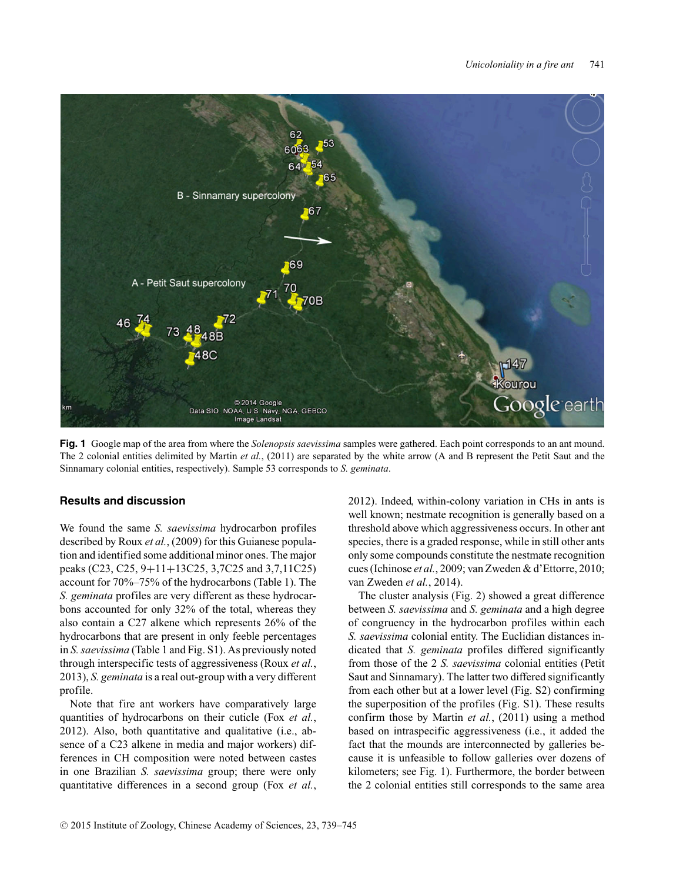

**Fig. 1** Google map of the area from where the *Solenopsis saevissima* samples were gathered. Each point corresponds to an ant mound. The 2 colonial entities delimited by Martin *et al.*, (2011) are separated by the white arrow (A and B represent the Petit Saut and the Sinnamary colonial entities, respectively). Sample 53 corresponds to *S. geminata*.

#### **Results and discussion**

We found the same *S. saevissima* hydrocarbon profiles described by Roux *et al.*, (2009) for this Guianese population and identified some additional minor ones. The major peaks (C23, C25, 9+11+13C25, 3,7C25 and 3,7,11C25) account for 70%–75% of the hydrocarbons (Table 1). The *S. geminata* profiles are very different as these hydrocarbons accounted for only 32% of the total, whereas they also contain a C27 alkene which represents 26% of the hydrocarbons that are present in only feeble percentages in *S. saevissima* (Table 1 and Fig. S1). As previously noted through interspecific tests of aggressiveness (Roux *et al.*, 2013), *S. geminata* is a real out-group with a very different profile.

Note that fire ant workers have comparatively large quantities of hydrocarbons on their cuticle (Fox *et al.*, 2012). Also, both quantitative and qualitative (i.e., absence of a C23 alkene in media and major workers) differences in CH composition were noted between castes in one Brazilian *S. saevissima* group; there were only quantitative differences in a second group (Fox *et al.*, 2012). Indeed, within-colony variation in CHs in ants is well known; nestmate recognition is generally based on a threshold above which aggressiveness occurs. In other ant species, there is a graded response, while in still other ants only some compounds constitute the nestmate recognition cues (Ichinose *et al.*, 2009; van Zweden & d'Ettorre, 2010; van Zweden *et al.*, 2014).

The cluster analysis (Fig. 2) showed a great difference between *S. saevissima* and *S. geminata* and a high degree of congruency in the hydrocarbon profiles within each *S. saevissima* colonial entity. The Euclidian distances indicated that *S. geminata* profiles differed significantly from those of the 2 *S. saevissima* colonial entities (Petit Saut and Sinnamary). The latter two differed significantly from each other but at a lower level (Fig. S2) confirming the superposition of the profiles (Fig. S1). These results confirm those by Martin *et al.*, (2011) using a method based on intraspecific aggressiveness (i.e., it added the fact that the mounds are interconnected by galleries because it is unfeasible to follow galleries over dozens of kilometers; see Fig. 1). Furthermore, the border between the 2 colonial entities still corresponds to the same area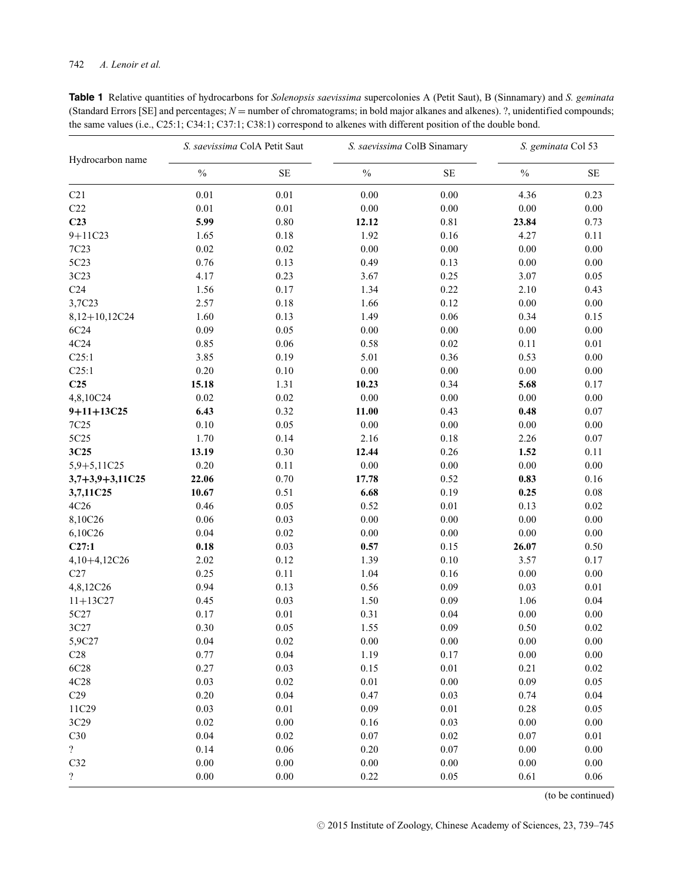| <b>Table 1</b> Relative quantities of hydrocarbons for <i>Solenopsis saevissima</i> supercolonies A (Petit Saut), B (Sinnamary) and S. geminata |
|-------------------------------------------------------------------------------------------------------------------------------------------------|
| (Standard Errors [SE] and percentages; $N =$ number of chromatograms; in bold major alkanes and alkenes). ?, unidentified compounds;            |
| the same values (i.e., $C25:1$ ; $C34:1$ ; $C37:1$ ; $C38:1$ ) correspond to alkenes with different position of the double bond.                |

| Hydrocarbon name         | S. saevissima ColA Petit Saut |          | S. saevissima ColB Sinamary |          | S. geminata Col 53 |          |
|--------------------------|-------------------------------|----------|-----------------------------|----------|--------------------|----------|
|                          | $\frac{0}{0}$                 | $\rm SE$ | $\frac{0}{0}$               | $\rm SE$ | $\frac{0}{0}$      | $\rm SE$ |
| C21                      | 0.01                          | $0.01\,$ | $0.00\,$                    | 0.00     | 4.36               | 0.23     |
| C22                      | $0.01\,$                      | $0.01\,$ | $0.00\,$                    | 0.00     | $0.00\,$           | $0.00\,$ |
| C <sub>23</sub>          | 5.99                          | 0.80     | 12.12                       | 0.81     | 23.84              | 0.73     |
| $9 + 11C23$              | 1.65                          | 0.18     | 1.92                        | 0.16     | 4.27               | 0.11     |
| 7C <sub>23</sub>         | 0.02                          | 0.02     | $0.00\,$                    | $0.00\,$ | $0.00\,$           | $0.00\,$ |
| 5C23                     | 0.76                          | 0.13     | 0.49                        | 0.13     | $0.00\,$           | $0.00\,$ |
| 3C23                     | 4.17                          | 0.23     | 3.67                        | 0.25     | 3.07               | 0.05     |
| C <sub>24</sub>          | 1.56                          | 0.17     | 1.34                        | 0.22     | 2.10               | 0.43     |
| 3,7C23                   | 2.57                          | 0.18     | 1.66                        | 0.12     | $0.00\,$           | $0.00\,$ |
| 8,12+10,12C24            | 1.60                          | 0.13     | 1.49                        | 0.06     | 0.34               | 0.15     |
| 6C24                     | 0.09                          | 0.05     | $0.00\,$                    | 0.00     | $0.00\,$           | $0.00\,$ |
| 4C24                     | 0.85                          | 0.06     | 0.58                        | 0.02     | 0.11               | 0.01     |
| C25:1                    | 3.85                          | 0.19     | 5.01                        | 0.36     | 0.53               | $0.00\,$ |
| C25:1                    | $0.20\,$                      | 0.10     | $0.00\,$                    | 0.00     | $0.00\,$           | $0.00\,$ |
| C <sub>25</sub>          | 15.18                         | 1.31     | 10.23                       | 0.34     | 5.68               | 0.17     |
| 4,8,10C24                | $0.02\,$                      | 0.02     | $0.00\,$                    | $0.00\,$ | $0.00\,$           | $0.00\,$ |
| $9+11+13C25$             | 6.43                          | 0.32     | 11.00                       | 0.43     | 0.48               | $0.07\,$ |
| 7C <sub>25</sub>         | $0.10\,$                      | 0.05     | $0.00\,$                    | $0.00\,$ | $0.00\,$           | $0.00\,$ |
| 5C25                     | 1.70                          | 0.14     | 2.16                        | 0.18     | 2.26               | $0.07\,$ |
| 3C25                     | 13.19                         | 0.30     | 12.44                       | 0.26     | 1.52               | 0.11     |
| 5,9+5,11C25              | 0.20                          | 0.11     | $0.00\,$                    | $0.00\,$ | $0.00\,$           | $0.00\,$ |
| $3,7+3,9+3,11C25$        | 22.06                         | 0.70     | 17.78                       | 0.52     | 0.83               | 0.16     |
| 3,7,11C25                | 10.67                         | 0.51     | 6.68                        | 0.19     | 0.25               | $0.08\,$ |
| 4C26                     | 0.46                          | 0.05     | 0.52                        | $0.01\,$ | 0.13               | $0.02\,$ |
| 8,10C26                  | $0.06\,$                      | 0.03     | $0.00\,$                    | $0.00\,$ | $0.00\,$           | $0.00\,$ |
| 6,10C26                  | $0.04\,$                      | 0.02     | $0.00\,$                    | $0.00\,$ | $0.00\,$           | $0.00\,$ |
| C27:1                    | 0.18                          | 0.03     | 0.57                        | 0.15     | 26.07              | 0.50     |
| 4,10+4,12C26             | 2.02                          | 0.12     | 1.39                        | 0.10     | 3.57               | 0.17     |
| C27                      | 0.25                          | 0.11     | 1.04                        | 0.16     | $0.00\,$           | $0.00\,$ |
| 4,8,12C26                | 0.94                          | 0.13     | 0.56                        | 0.09     | 0.03               | $0.01\,$ |
| $11+13C27$               | 0.45                          | 0.03     | 1.50                        | 0.09     | 1.06               | 0.04     |
| 5C27                     | 0.17                          | 0.01     | 0.31                        | 0.04     | $0.00\,$           | $0.00\,$ |
| 3C27                     | 0.30                          | 0.05     | 1.55                        | 0.09     | 0.50               | $0.02\,$ |
| 5,9C27                   | $0.04\,$                      | 0.02     | $0.00\,$                    | $0.00\,$ | $0.00\,$           | $0.00\,$ |
| C28                      | 0.77                          | 0.04     | 1.19                        | 0.17     | $0.00\,$           | $0.00\,$ |
| 6C28                     | 0.27                          | 0.03     | 0.15                        | $0.01\,$ | 0.21               | $0.02\,$ |
| 4C28                     | 0.03                          | 0.02     | $0.01\,$                    | $0.00\,$ | $0.09\,$           | 0.05     |
| C29                      | 0.20                          | 0.04     | 0.47                        | 0.03     | 0.74               | $0.04\,$ |
| 11C29                    | 0.03                          | 0.01     | 0.09                        | $0.01\,$ | 0.28               | 0.05     |
| 3C29                     | $0.02\,$                      | $0.00\,$ | $0.16\,$                    | 0.03     | 0.00               | $0.00\,$ |
| C30                      | 0.04                          | 0.02     | 0.07                        | 0.02     | 0.07               | 0.01     |
| $\overline{?}$           | 0.14                          | 0.06     | $0.20\,$                    | 0.07     | 0.00               | $0.00\,$ |
| C32                      | $0.00\,$                      | 0.00     | $0.00\,$                    | $0.00\,$ | 0.00               | 0.00     |
| $\overline{\mathcal{L}}$ | $0.00\,$                      | 0.00     | 0.22                        | 0.05     | 0.61               | 0.06     |

(to be continued)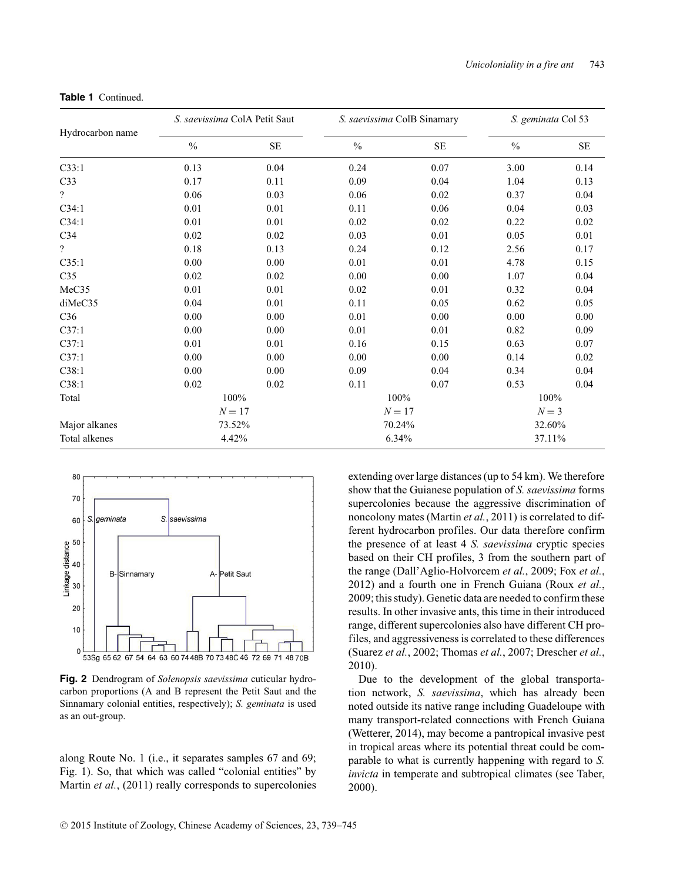| Hydrocarbon name | S. saevissima ColA Petit Saut |          | S. saevissima ColB Sinamary |          | S. geminata Col 53 |           |
|------------------|-------------------------------|----------|-----------------------------|----------|--------------------|-----------|
|                  | $\frac{0}{0}$                 | $\rm SE$ | $\%$                        | $\rm SE$ | $\frac{0}{0}$      | <b>SE</b> |
| C33:1            | 0.13                          | 0.04     | 0.24                        | 0.07     | 3.00               | 0.14      |
| C <sub>33</sub>  | 0.17                          | 0.11     | 0.09                        | 0.04     | 1.04               | 0.13      |
| $\overline{?}$   | 0.06                          | 0.03     | 0.06                        | 0.02     | 0.37               | 0.04      |
| C34:1            | 0.01                          | 0.01     | 0.11                        | 0.06     | 0.04               | 0.03      |
| C34:1            | 0.01                          | 0.01     | 0.02                        | 0.02     | 0.22               | 0.02      |
| C <sub>34</sub>  | 0.02                          | 0.02     | 0.03                        | 0.01     | 0.05               | 0.01      |
| $\overline{?}$   | 0.18                          | 0.13     | 0.24                        | 0.12     | 2.56               | 0.17      |
| C35:1            | 0.00                          | 0.00     | 0.01                        | 0.01     | 4.78               | 0.15      |
| C <sub>35</sub>  | 0.02                          | 0.02     | 0.00                        | 0.00     | 1.07               | 0.04      |
| MeC35            | 0.01                          | 0.01     | 0.02                        | 0.01     | 0.32               | 0.04      |
| diMeC35          | 0.04                          | 0.01     | 0.11                        | 0.05     | 0.62               | 0.05      |
| C36              | 0.00                          | 0.00     | 0.01                        | 0.00     | 0.00               | 0.00      |
| C37:1            | 0.00                          | 0.00     | 0.01                        | 0.01     | 0.82               | 0.09      |
| C37:1            | 0.01                          | 0.01     | 0.16                        | 0.15     | 0.63               | 0.07      |
| C37:1            | 0.00                          | 0.00     | 0.00                        | 0.00     | 0.14               | 0.02      |
| C38:1            | 0.00                          | 0.00     | 0.09                        | 0.04     | 0.34               | 0.04      |
| C38:1            | 0.02                          | 0.02     | 0.11                        | 0.07     | 0.53               | 0.04      |
| Total            | 100%                          |          | 100%                        |          | 100%               |           |
|                  | $N = 17$                      |          | $N=17$                      |          | $N = 3$            |           |
| Major alkanes    | 73.52%                        |          | 70.24%                      |          | 32.60%             |           |
| Total alkenes    | 4.42%                         |          | 6.34%                       |          | 37.11%             |           |

**Table 1** Continued.



**Fig. 2** Dendrogram of *Solenopsis saevissima* cuticular hydrocarbon proportions (A and B represent the Petit Saut and the Sinnamary colonial entities, respectively); *S. geminata* is used as an out-group.

along Route No. 1 (i.e., it separates samples 67 and 69; Fig. 1). So, that which was called "colonial entities" by Martin *et al.*, (2011) really corresponds to supercolonies

extending over large distances (up to 54 km). We therefore show that the Guianese population of *S. saevissima* forms supercolonies because the aggressive discrimination of noncolony mates (Martin *et al.*, 2011) is correlated to different hydrocarbon profiles. Our data therefore confirm the presence of at least 4 *S. saevissima* cryptic species based on their CH profiles, 3 from the southern part of the range (Dall'Aglio-Holvorcem *et al.*, 2009; Fox *et al.*, 2012) and a fourth one in French Guiana (Roux *et al.*, 2009; this study). Genetic data are needed to confirm these results. In other invasive ants, this time in their introduced range, different supercolonies also have different CH profiles, and aggressiveness is correlated to these differences (Suarez *et al.*, 2002; Thomas *et al.*, 2007; Drescher *et al.*, 2010).

Due to the development of the global transportation network, *S. saevissima*, which has already been noted outside its native range including Guadeloupe with many transport-related connections with French Guiana (Wetterer, 2014), may become a pantropical invasive pest in tropical areas where its potential threat could be comparable to what is currently happening with regard to *S. invicta* in temperate and subtropical climates (see Taber, 2000).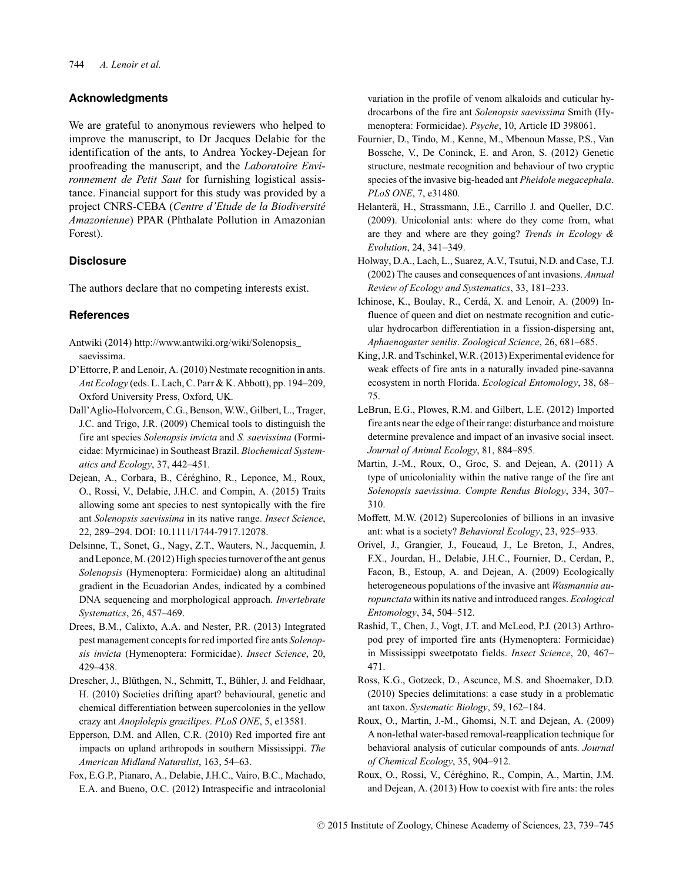#### **Acknowledgments**

We are grateful to anonymous reviewers who helped to improve the manuscript, to Dr Jacques Delabie for the identification of the ants, to Andrea Yockey-Dejean for proofreading the manuscript, and the *Laboratoire Environnement de Petit Saut* for furnishing logistical assistance. Financial support for this study was provided by a project CNRS-CEBA (*Centre d'Etude de la Biodiversite´ Amazonienne*) PPAR (Phthalate Pollution in Amazonian Forest).

#### **Disclosure**

The authors declare that no competing interests exist.

#### **References**

- Antwiki (2014) http://www.antwiki.org/wiki/Solenopsis\_ saevissima.
- D'Ettorre, P. and Lenoir, A. (2010) Nestmate recognition in ants. *Ant Ecology* (eds. L. Lach, C. Parr & K. Abbott), pp. 194–209, Oxford University Press, Oxford, UK.
- Dall'Aglio-Holvorcem, C.G., Benson, W.W., Gilbert, L., Trager, J.C. and Trigo, J.R. (2009) Chemical tools to distinguish the fire ant species *Solenopsis invicta* and *S. saevissima* (Formicidae: Myrmicinae) in Southeast Brazil. *Biochemical Systematics and Ecology*, 37, 442–451.
- Dejean, A., Corbara, B., Céréghino, R., Leponce, M., Roux, O., Rossi, V., Delabie, J.H.C. and Compin, A. (2015) Traits allowing some ant species to nest syntopically with the fire ant *Solenopsis saevissima* in its native range. *Insect Science*, 22, 289–294. DOI: 10.1111/1744-7917.12078.
- Delsinne, T., Sonet, G., Nagy, Z.T., Wauters, N., Jacquemin, J. and Leponce, M. (2012) High species turnover of the ant genus *Solenopsis* (Hymenoptera: Formicidae) along an altitudinal gradient in the Ecuadorian Andes, indicated by a combined DNA sequencing and morphological approach. *Invertebrate Systematics*, 26, 457–469.
- Drees, B.M., Calixto, A.A. and Nester, P.R. (2013) Integrated pest management concepts for red imported fire ants *Solenopsis invicta* (Hymenoptera: Formicidae). *Insect Science*, 20, 429–438.
- Drescher, J., Blüthgen, N., Schmitt, T., Bühler, J. and Feldhaar, H. (2010) Societies drifting apart? behavioural, genetic and chemical differentiation between supercolonies in the yellow crazy ant *Anoplolepis gracilipes*. *PLoS ONE*, 5, e13581.
- Epperson, D.M. and Allen, C.R. (2010) Red imported fire ant impacts on upland arthropods in southern Mississippi. *The American Midland Naturalist*, 163, 54–63.
- Fox, E.G.P., Pianaro, A., Delabie, J.H.C., Vairo, B.C., Machado, E.A. and Bueno, O.C. (2012) Intraspecific and intracolonial

variation in the profile of venom alkaloids and cuticular hydrocarbons of the fire ant *Solenopsis saevissima* Smith (Hymenoptera: Formicidae). *Psyche*, 10, Article ID 398061.

- Fournier, D., Tindo, M., Kenne, M., Mbenoun Masse, P.S., Van Bossche, V., De Coninck, E. and Aron, S. (2012) Genetic structure, nestmate recognition and behaviour of two cryptic species of the invasive big-headed ant *Pheidole megacephala*. *PLoS ONE*, 7, e31480.
- Helanterä, H., Strassmann, J.E., Carrillo J. and Queller, D.C. (2009). Unicolonial ants: where do they come from, what are they and where are they going? *Trends in Ecology & Evolution*, 24, 341–349.
- Holway, D.A., Lach, L., Suarez, A.V., Tsutui, N.D. and Case, T.J. (2002) The causes and consequences of ant invasions. *Annual Review of Ecology and Systematics*, 33, 181–233.
- Ichinose, K., Boulay, R., Cerdá, X. and Lenoir, A. (2009) Influence of queen and diet on nestmate recognition and cuticular hydrocarbon differentiation in a fission-dispersing ant, *Aphaenogaster senilis*. *Zoological Science*, 26, 681–685.
- King, J.R. and Tschinkel, W.R. (2013) Experimental evidence for weak effects of fire ants in a naturally invaded pine-savanna ecosystem in north Florida. *Ecological Entomology*, 38, 68– 75.
- LeBrun, E.G., Plowes, R.M. and Gilbert, L.E. (2012) Imported fire ants near the edge of their range: disturbance and moisture determine prevalence and impact of an invasive social insect. *Journal of Animal Ecology*, 81, 884–895.
- Martin, J.-M., Roux, O., Groc, S. and Dejean, A. (2011) A type of unicoloniality within the native range of the fire ant *Solenopsis saevissima*. *Compte Rendus Biology*, 334, 307– 310.
- Moffett, M.W. (2012) Supercolonies of billions in an invasive ant: what is a society? *Behavioral Ecology*, 23, 925–933.
- Orivel, J., Grangier, J., Foucaud, J., Le Breton, J., Andres, F.X., Jourdan, H., Delabie, J.H.C., Fournier, D., Cerdan, P., Facon, B., Estoup, A. and Dejean, A. (2009) Ecologically heterogeneous populations of the invasive ant *Wasmannia auropunctata* within its native and introduced ranges. *Ecological Entomology*, 34, 504–512.
- Rashid, T., Chen, J., Vogt, J.T. and McLeod, P.J. (2013) Arthropod prey of imported fire ants (Hymenoptera: Formicidae) in Mississippi sweetpotato fields. *Insect Science*, 20, 467– 471.
- Ross, K.G., Gotzeck, D., Ascunce, M.S. and Shoemaker, D.D. (2010) Species delimitations: a case study in a problematic ant taxon. *Systematic Biology*, 59, 162–184.
- Roux, O., Martin, J.-M., Ghomsi, N.T. and Dejean, A. (2009) A non-lethal water-based removal-reapplication technique for behavioral analysis of cuticular compounds of ants. *Journal of Chemical Ecology*, 35, 904–912.
- Roux, O., Rossi, V., Céréghino, R., Compin, A., Martin, J.M. and Dejean, A. (2013) How to coexist with fire ants: the roles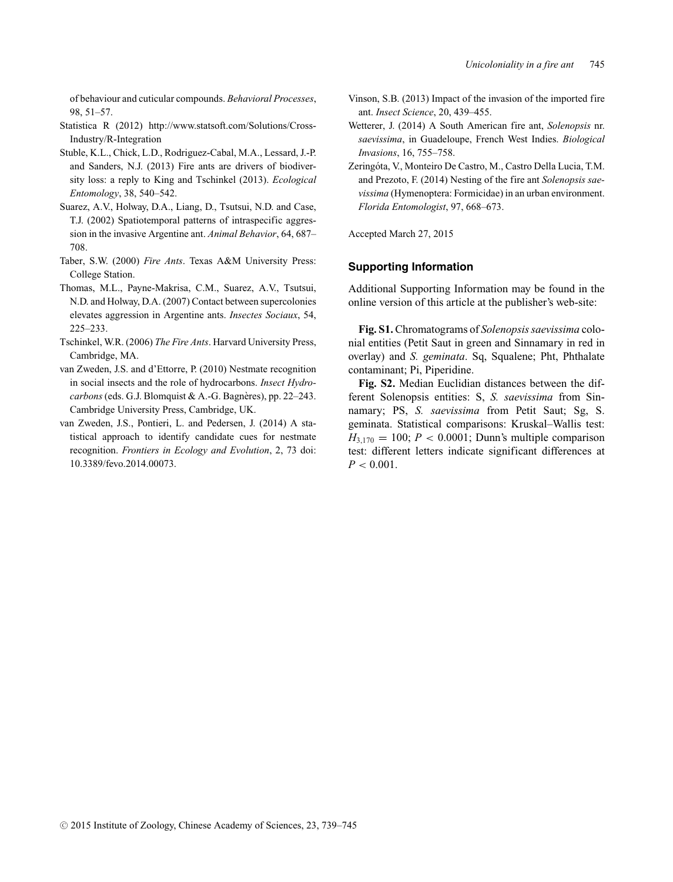of behaviour and cuticular compounds. *Behavioral Processes*, 98, 51–57.

- Statistica R (2012) http://www.statsoft.com/Solutions/Cross-Industry/R-Integration
- Stuble, K.L., Chick, L.D., Rodriguez-Cabal, M.A., Lessard, J.-P. and Sanders, N.J. (2013) Fire ants are drivers of biodiversity loss: a reply to King and Tschinkel (2013). *Ecological Entomology*, 38, 540–542.
- Suarez, A.V., Holway, D.A., Liang, D., Tsutsui, N.D. and Case, T.J. (2002) Spatiotemporal patterns of intraspecific aggression in the invasive Argentine ant. *Animal Behavior*, 64, 687– 708.
- Taber, S.W. (2000) *Fire Ants*. Texas A&M University Press: College Station.
- Thomas, M.L., Payne-Makrisa, C.M., Suarez, A.V., Tsutsui, N.D. and Holway, D.A. (2007) Contact between supercolonies elevates aggression in Argentine ants. *Insectes Sociaux*, 54, 225–233.
- Tschinkel, W.R. (2006) *The Fire Ants*. Harvard University Press, Cambridge, MA.
- van Zweden, J.S. and d'Ettorre, P. (2010) Nestmate recognition in social insects and the role of hydrocarbons. *Insect Hydrocarbons* (eds. G.J. Blomquist & A.-G. Bagnères), pp. 22–243. Cambridge University Press, Cambridge, UK.
- van Zweden, J.S., Pontieri, L. and Pedersen, J. (2014) A statistical approach to identify candidate cues for nestmate recognition. *Frontiers in Ecology and Evolution*, 2, 73 doi: 10.3389/fevo.2014.00073.
- Vinson, S.B. (2013) Impact of the invasion of the imported fire ant. *Insect Science*, 20, 439–455.
- Wetterer, J. (2014) A South American fire ant, *Solenopsis* nr. *saevissima*, in Guadeloupe, French West Indies. *Biological Invasions*, 16, 755–758.
- Zeringóta, V., Monteiro De Castro, M., Castro Della Lucia, T.M. and Prezoto, F. (2014) Nesting of the fire ant *Solenopsis saevissima* (Hymenoptera: Formicidae) in an urban environment. *Florida Entomologist*, 97, 668–673.

Accepted March 27, 2015

#### **Supporting Information**

Additional Supporting Information may be found in the online version of this article at the publisher's web-site:

**Fig. S1.** Chromatograms of *Solenopsis saevissima* colonial entities (Petit Saut in green and Sinnamary in red in overlay) and *S. geminata*. Sq, Squalene; Pht, Phthalate contaminant; Pi, Piperidine.

**Fig. S2.** Median Euclidian distances between the different Solenopsis entities: S, *S. saevissima* from Sinnamary; PS, *S. saevissima* from Petit Saut; Sg, S. geminata. Statistical comparisons: Kruskal–Wallis test:  $H_{3,170} = 100$ ;  $P < 0.0001$ ; Dunn's multiple comparison test: different letters indicate significant differences at  $P < 0.001$ .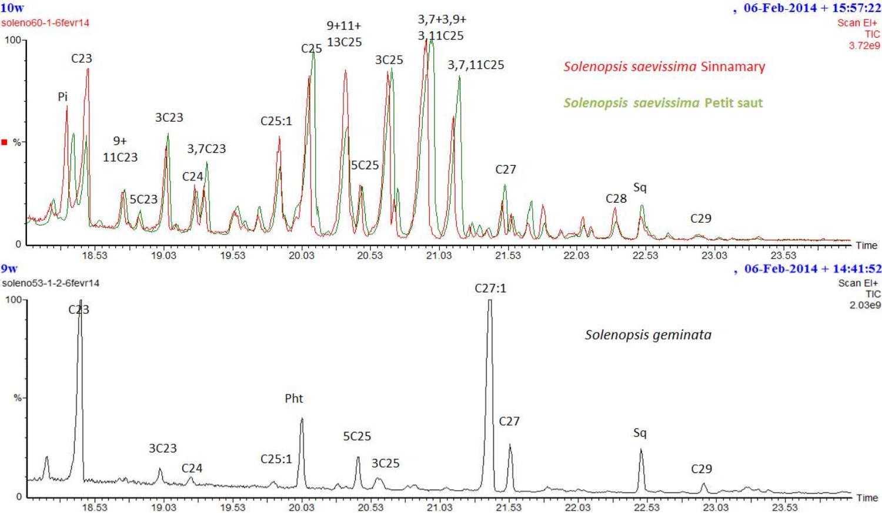

# $, 06$ -Feb-2014 + 15:57:22